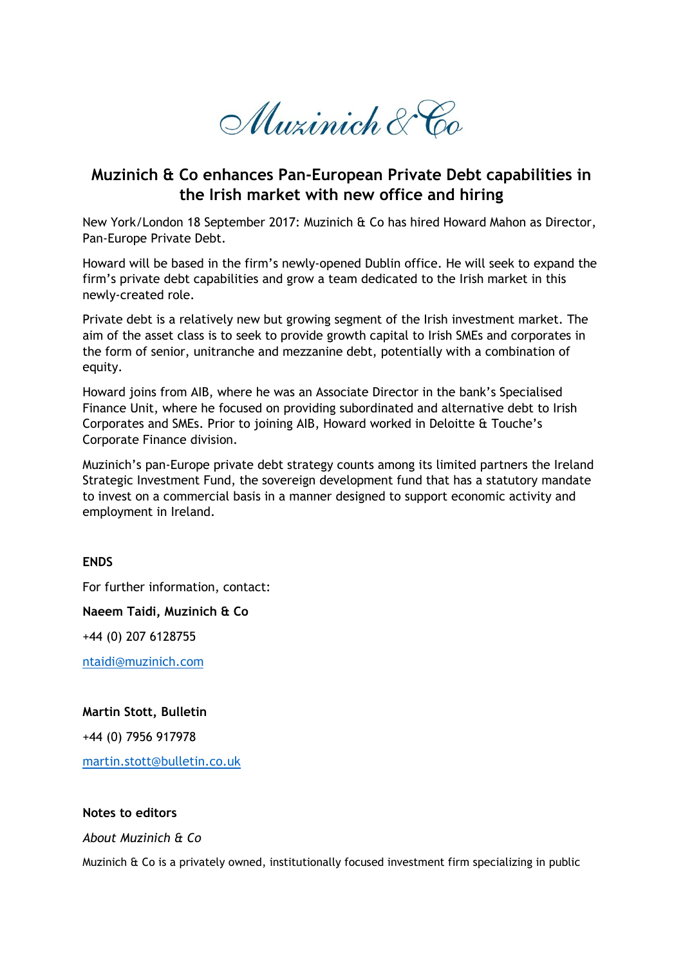Muzinich & Co

# **Muzinich & Co enhances Pan-European Private Debt capabilities in the Irish market with new office and hiring**

New York/London 18 September 2017: Muzinich & Co has hired Howard Mahon as Director, Pan-Europe Private Debt.

Howard will be based in the firm's newly-opened Dublin office. He will seek to expand the firm's private debt capabilities and grow a team dedicated to the Irish market in this newly-created role.

Private debt is a relatively new but growing segment of the Irish investment market. The aim of the asset class is to seek to provide growth capital to Irish SMEs and corporates in the form of senior, unitranche and mezzanine debt, potentially with a combination of equity.

Howard joins from AIB, where he was an Associate Director in the bank's Specialised Finance Unit, where he focused on providing subordinated and alternative debt to Irish Corporates and SMEs. Prior to joining AIB, Howard worked in Deloitte & Touche's Corporate Finance division.

Muzinich's pan-Europe private debt strategy counts among its limited partners the Ireland Strategic Investment Fund, the sovereign development fund that has a statutory mandate to invest on a commercial basis in a manner designed to support economic activity and employment in Ireland.

## **ENDS**

For further information, contact:

**Naeem Taidi, Muzinich & Co**

+44 (0) 207 6128755

[ntaidi@muzinich.com](mailto:ntaidi@muzinich.com)

### **Martin Stott, Bulletin**

+44 (0) 7956 917978

[martin.stott@bulletin.co.uk](mailto:martin.stott@bulletin.co.uk)

### **Notes to editors**

*About Muzinich & Co*

Muzinich & Co is a privately owned, institutionally focused investment firm specializing in public